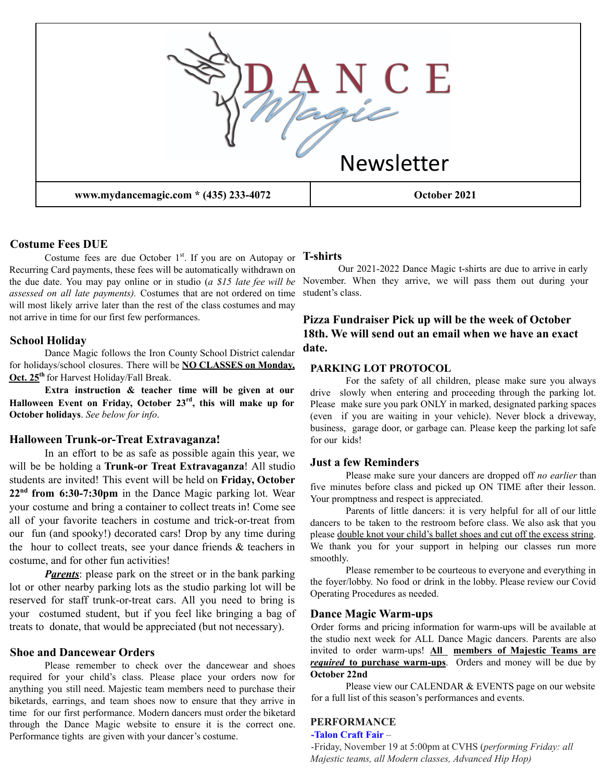

### **Costume Fees DUE**

Costume fees are due October 1<sup>st</sup>. If you are on Autopay or Recurring Card payments, these fees will be automatically withdrawn on the due date. You may pay online or in studio (*a \$15 late fee will be assessed on all late payments).* Costumes that are not ordered on time will most likely arrive later than the rest of the class costumes and may not arrive in time for our first few performances.

#### **School Holiday**

Dance Magic follows the Iron County School District calendar for holidays/school closures. There will be **NO CLASSES on Monday, Oct. 25 th** for Harvest Holiday/Fall Break.

**Extra instruction & teacher time will be given at our Halloween Event on Friday, October 23 rd , this will make up for October holidays**. *See below for info*.

### **Halloween Trunk-or-Treat Extravaganza!**

In an effort to be as safe as possible again this year, we will be be holding a **Trunk-or Treat Extravaganza**! All studio students are invited! This event will be held on **Friday, October 22 nd from 6:30-7:30pm** in the Dance Magic parking lot. Wear your costume and bring a container to collect treats in! Come see all of your favorite teachers in costume and trick-or-treat from our fun (and spooky!) decorated cars! Drop by any time during the hour to collect treats, see your dance friends & teachers in costume, and for other fun activities!

*Parents*: please park on the street or in the bank parking lot or other nearby parking lots as the studio parking lot will be reserved for staff trunk-or-treat cars. All you need to bring is your costumed student, but if you feel like bringing a bag of treats to donate, that would be appreciated (but not necessary).

#### **Shoe and Dancewear Orders**

Please remember to check over the dancewear and shoes required for your child's class. Please place your orders now for anything you still need. Majestic team members need to purchase their biketards, earrings, and team shoes now to ensure that they arrive in time for our first performance. Modern dancers must order the biketard through the Dance Magic website to ensure it is the correct one. Performance tights are given with your dancer's costume.

### **T-shirts**

Our 2021-2022 Dance Magic t-shirts are due to arrive in early November. When they arrive, we will pass them out during your student's class.

## **Pizza Fundraiser Pick up will be the week of October 18th. We will send out an email when we have an exact date.**

#### **PARKING LOT PROTOCOL**

For the safety of all children, please make sure you always drive slowly when entering and proceeding through the parking lot. Please make sure you park ONLY in marked, designated parking spaces (even if you are waiting in your vehicle). Never block a driveway, business, garage door, or garbage can. Please keep the parking lot safe for our kids!

### **Just a few Reminders**

Please make sure your dancers are dropped off *no earlier* than five minutes before class and picked up ON TIME after their lesson. Your promptness and respect is appreciated.

Parents of little dancers: it is very helpful for all of our little dancers to be taken to the restroom before class. We also ask that you please double knot your child's ballet shoes and cut off the excess string. We thank you for your support in helping our classes run more smoothly.

Please remember to be courteous to everyone and everything in the foyer/lobby. No food or drink in the lobby. Please review our Covid Operating Procedures as needed.

#### **Dance Magic Warm-ups**

Order forms and pricing information for warm-ups will be available at the studio next week for ALL Dance Magic dancers. Parents are also invited to order warm-ups! **All members of Majestic Teams are** *required* **to purchase warm-ups**. Orders and money will be due by **October 22nd**

Please view our CALENDAR & EVENTS page on our website for a full list of this season's performances and events.

## **PERFORMANCE**

#### **-Talon Craft Fair** –

-Friday, November 19 at 5:00pm at CVHS (*performing Friday: all Majestic teams, all Modern classes, Advanced Hip Hop)*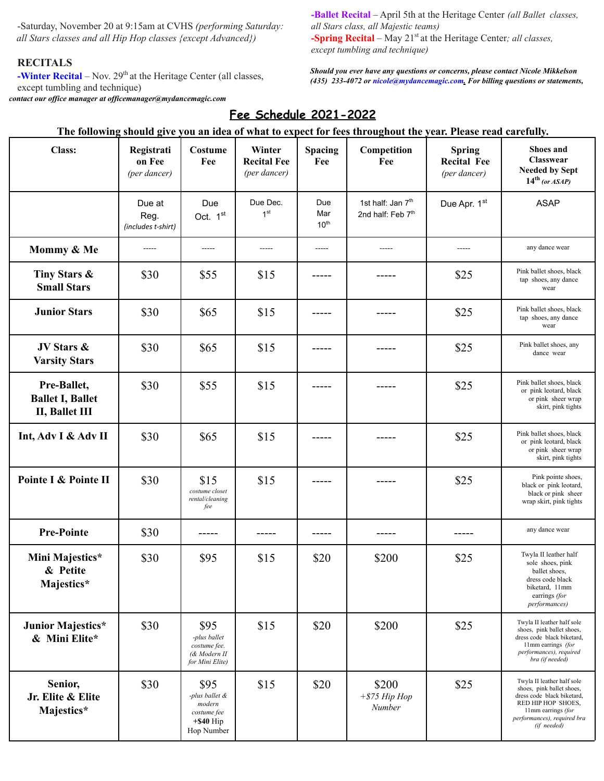-Saturday, November 20 at 9:15am at CVHS *(performing Saturday: all Stars classes and all Hip Hop classes {except Advanced})*

### **RECITALS**

**-Winter Recital** – Nov.  $29<sup>th</sup>$  at the Heritage Center (all classes, except tumbling and technique) *contact our of ice manager at of icemanager@mydancemagic.com*

**-Ballet Recital** – April 5th at the Heritage Center *(all Ballet classes, all Stars class, all Majestic teams)* **-Spring Recital** – May 21 st at the Heritage Center*; all classes, except tumbling and technique)*

*Should you ever have any questions or concerns, please contact Nicole Mikkelson (435) 233-4072 or nicole@mydancemagic.com. For billing questions or statements,*

# **Fee Schedule 2021-2022**

### The following should give you an idea of what to expect for fees throughout the year. Please read carefully.

| <b>Class:</b>                                            | Registrati<br>on Fee<br>(per dancer) | Costume<br>Fee                                                                | Winter<br><b>Recital Fee</b><br>(per dancer) | Spacing<br>Fee                 | Competition<br>Fee                                             | <b>Spring</b><br><b>Recital Fee</b><br>(per dancer) | Shoes and<br>Classwear<br><b>Needed by Sept</b><br>$14th$ (or ASAP)                                                                                                             |
|----------------------------------------------------------|--------------------------------------|-------------------------------------------------------------------------------|----------------------------------------------|--------------------------------|----------------------------------------------------------------|-----------------------------------------------------|---------------------------------------------------------------------------------------------------------------------------------------------------------------------------------|
|                                                          | Due at<br>Reg.<br>(includes t-shirt) | Due<br>Oct. 1st                                                               | Due Dec.<br>1 <sup>st</sup>                  | Due<br>Mar<br>10 <sup>th</sup> | 1st half: Jan 7 <sup>th</sup><br>2nd half: Feb 7 <sup>th</sup> | Due Apr. 1st                                        | <b>ASAP</b>                                                                                                                                                                     |
| Mommy & Me                                               | -----                                | -----                                                                         | $- - - - -$                                  | -----                          | $- - - - -$                                                    | -----                                               | any dance wear                                                                                                                                                                  |
| Tiny Stars &<br><b>Small Stars</b>                       | \$30                                 | \$55                                                                          | \$15                                         |                                |                                                                | \$25                                                | Pink ballet shoes, black<br>tap shoes, any dance<br>wear                                                                                                                        |
| <b>Junior Stars</b>                                      | \$30                                 | \$65                                                                          | \$15                                         |                                |                                                                | \$25                                                | Pink ballet shoes, black<br>tap shoes, any dance<br>wear                                                                                                                        |
| JV Stars &<br><b>Varsity Stars</b>                       | \$30                                 | \$65                                                                          | \$15                                         |                                |                                                                | \$25                                                | Pink ballet shoes, any<br>dance wear                                                                                                                                            |
| Pre-Ballet,<br><b>Ballet I, Ballet</b><br>II, Ballet III | \$30                                 | \$55                                                                          | \$15                                         |                                |                                                                | \$25                                                | Pink ballet shoes, black<br>or pink leotard, black<br>or pink sheer wrap<br>skirt, pink tights                                                                                  |
| Int, Adv I & Adv II                                      | \$30                                 | \$65                                                                          | \$15                                         |                                |                                                                | \$25                                                | Pink ballet shoes, black<br>or pink leotard, black<br>or pink sheer wrap<br>skirt, pink tights                                                                                  |
| Pointe I & Pointe II                                     | \$30                                 | \$15<br>costume closet<br>rental/cleaning<br>fee                              | \$15                                         |                                |                                                                | \$25                                                | Pink pointe shoes,<br>black or pink leotard,<br>black or pink sheer<br>wrap skirt, pink tights                                                                                  |
| <b>Pre-Pointe</b>                                        | \$30                                 |                                                                               | -----                                        |                                |                                                                | -----                                               | any dance wear                                                                                                                                                                  |
| Mini Majestics*<br>& Petite<br>Majestics*                | \$30                                 | \$95                                                                          | \$15                                         | \$20                           | \$200                                                          | \$25                                                | Twyla II leather half<br>sole shoes, pink<br>ballet shoes,<br>dress code black<br>biketard, 11mm<br>earrings (for<br><i>performances</i> )                                      |
| Junior Majestics*<br>& Mini Elite*                       | \$30                                 | \$95<br>-plus ballet<br>costume fee.<br>(& Modern II<br>for Mini Elite)       | \$15                                         | \$20                           | \$200                                                          | \$25                                                | Twyla II leather half sole<br>shoes, pink ballet shoes,<br>dress code black biketard,<br>11mm earrings (for<br>performances), required<br>bra (if needed)                       |
| Senior,<br>Jr. Elite & Elite<br>Majestics*               | \$30                                 | \$95<br>-plus ballet &<br>modern<br>costume fee<br>$+$ \$40 Hip<br>Hop Number | \$15                                         | \$20                           | \$200<br>$+$ \$75 Hip Hop<br>Number                            | \$25                                                | Twyla II leather half sole<br>shoes, pink ballet shoes,<br>dress code black biketard,<br>RED HIP HOP SHOES,<br>11mm earrings (for<br>performances), required bra<br>(if needed) |